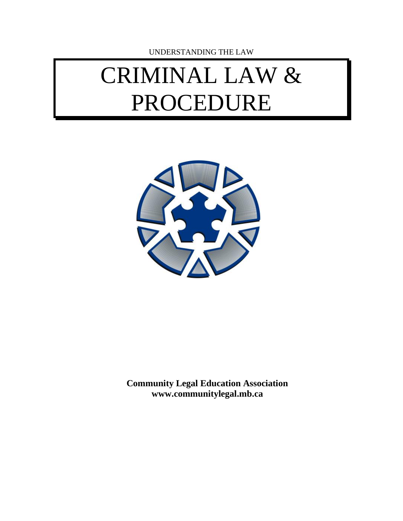# CRIMINAL LAW & PROCEDURE



**Community Legal Education Association www.communitylegal.mb.ca**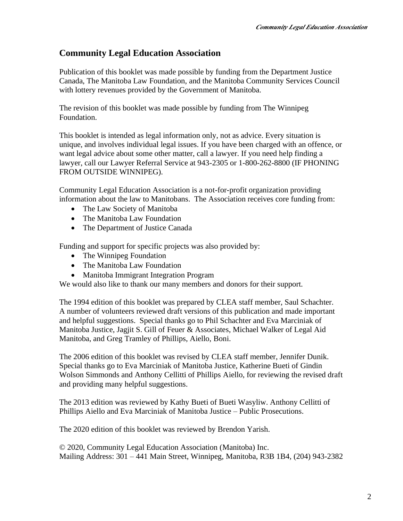## **Community Legal Education Association**

Publication of this booklet was made possible by funding from the Department Justice Canada, The Manitoba Law Foundation, and the Manitoba Community Services Council with lottery revenues provided by the Government of Manitoba.

The revision of this booklet was made possible by funding from The Winnipeg Foundation.

This booklet is intended as legal information only, not as advice. Every situation is unique, and involves individual legal issues. If you have been charged with an offence, or want legal advice about some other matter, call a lawyer. If you need help finding a lawyer, call our Lawyer Referral Service at 943-2305 or 1-800-262-8800 (IF PHONING FROM OUTSIDE WINNIPEG).

Community Legal Education Association is a not-for-profit organization providing information about the law to Manitobans. The Association receives core funding from:

- The Law Society of Manitoba
- The Manitoba Law Foundation
- The Department of Justice Canada

Funding and support for specific projects was also provided by:

- The Winnipeg Foundation
- The Manitoba Law Foundation
- Manitoba Immigrant Integration Program

We would also like to thank our many members and donors for their support.

The 1994 edition of this booklet was prepared by CLEA staff member, Saul Schachter. A number of volunteers reviewed draft versions of this publication and made important and helpful suggestions. Special thanks go to Phil Schachter and Eva Marciniak of Manitoba Justice, Jagjit S. Gill of Feuer & Associates, Michael Walker of Legal Aid Manitoba, and Greg Tramley of Phillips, Aiello, Boni.

The 2006 edition of this booklet was revised by CLEA staff member, Jennifer Dunik. Special thanks go to Eva Marciniak of Manitoba Justice, Katherine Bueti of Gindin Wolson Simmonds and Anthony Cellitti of Phillips Aiello, for reviewing the revised draft and providing many helpful suggestions.

The 2013 edition was reviewed by Kathy Bueti of Bueti Wasyliw. Anthony Cellitti of Phillips Aiello and Eva Marciniak of Manitoba Justice – Public Prosecutions.

The 2020 edition of this booklet was reviewed by Brendon Yarish.

© 2020, Community Legal Education Association (Manitoba) Inc. Mailing Address: 301 – 441 Main Street, Winnipeg, Manitoba, R3B 1B4, (204) 943-2382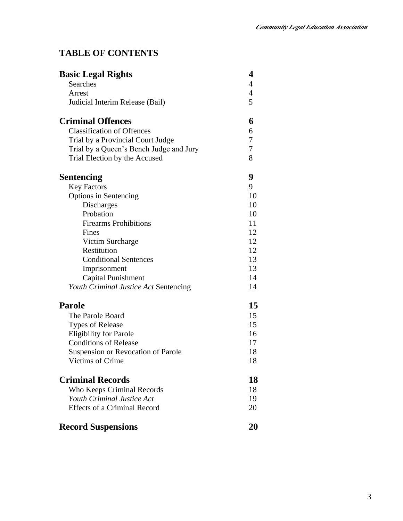## **TABLE OF CONTENTS**

| <b>Basic Legal Rights</b>               | 4              |
|-----------------------------------------|----------------|
| <b>Searches</b>                         | 4              |
| Arrest                                  | $\overline{4}$ |
| Judicial Interim Release (Bail)         | 5              |
| <b>Criminal Offences</b>                | 6              |
| <b>Classification of Offences</b>       | 6              |
| Trial by a Provincial Court Judge       | $\overline{7}$ |
| Trial by a Queen's Bench Judge and Jury | 7              |
| Trial Election by the Accused           | 8              |
| <b>Sentencing</b>                       | 9              |
| <b>Key Factors</b>                      | 9              |
| Options in Sentencing                   | 10             |
| <b>Discharges</b>                       | 10             |
| Probation                               | 10             |
| <b>Firearms Prohibitions</b>            | 11             |
| Fines                                   | 12             |
| Victim Surcharge                        | 12             |
| Restitution                             | 12             |
| <b>Conditional Sentences</b>            | 13             |
| Imprisonment                            | 13             |
| Capital Punishment                      | 14             |
| Youth Criminal Justice Act Sentencing   | 14             |
| <b>Parole</b>                           | 15             |
| The Parole Board                        | 15             |
| <b>Types of Release</b>                 | 15             |
| <b>Eligibility for Parole</b>           | 16             |
| <b>Conditions of Release</b>            | 17             |
| Suspension or Revocation of Parole      | 18             |
| Victims of Crime                        | 18             |
| <b>Criminal Records</b>                 | 18             |
| Who Keeps Criminal Records              | 18             |
| Youth Criminal Justice Act              | 19             |
| <b>Effects of a Criminal Record</b>     | 20             |
| <b>Record Suspensions</b>               | 20             |
|                                         |                |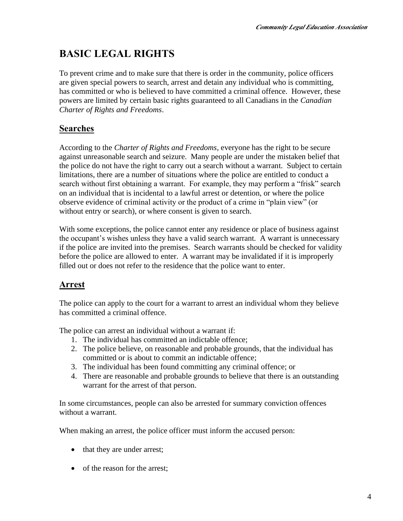# **BASIC LEGAL RIGHTS**

To prevent crime and to make sure that there is order in the community, police officers are given special powers to search, arrest and detain any individual who is committing, has committed or who is believed to have committed a criminal offence. However, these powers are limited by certain basic rights guaranteed to all Canadians in the *Canadian Charter of Rights and Freedoms*.

## **Searches**

According to the *Charter of Rights and Freedoms*, everyone has the right to be secure against unreasonable search and seizure. Many people are under the mistaken belief that the police do not have the right to carry out a search without a warrant. Subject to certain limitations, there are a number of situations where the police are entitled to conduct a search without first obtaining a warrant. For example, they may perform a "frisk" search on an individual that is incidental to a lawful arrest or detention, or where the police observe evidence of criminal activity or the product of a crime in "plain view" (or without entry or search), or where consent is given to search.

With some exceptions, the police cannot enter any residence or place of business against the occupant's wishes unless they have a valid search warrant. A warrant is unnecessary if the police are invited into the premises. Search warrants should be checked for validity before the police are allowed to enter. A warrant may be invalidated if it is improperly filled out or does not refer to the residence that the police want to enter.

## **Arrest**

The police can apply to the court for a warrant to arrest an individual whom they believe has committed a criminal offence.

The police can arrest an individual without a warrant if:

- 1. The individual has committed an indictable offence;
- 2. The police believe, on reasonable and probable grounds, that the individual has committed or is about to commit an indictable offence;
- 3. The individual has been found committing any criminal offence; or
- 4. There are reasonable and probable grounds to believe that there is an outstanding warrant for the arrest of that person.

In some circumstances, people can also be arrested for summary conviction offences without a warrant.

When making an arrest, the police officer must inform the accused person:

- that they are under arrest;
- of the reason for the arrest;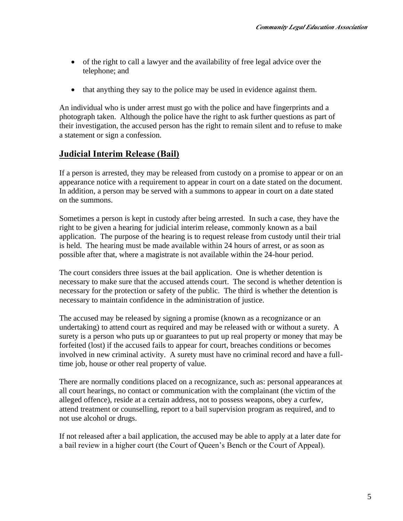- of the right to call a lawyer and the availability of free legal advice over the telephone; and
- that anything they say to the police may be used in evidence against them.

An individual who is under arrest must go with the police and have fingerprints and a photograph taken. Although the police have the right to ask further questions as part of their investigation, the accused person has the right to remain silent and to refuse to make a statement or sign a confession.

#### **Judicial Interim Release (Bail)**

If a person is arrested, they may be released from custody on a promise to appear or on an appearance notice with a requirement to appear in court on a date stated on the document. In addition, a person may be served with a summons to appear in court on a date stated on the summons.

Sometimes a person is kept in custody after being arrested. In such a case, they have the right to be given a hearing for judicial interim release, commonly known as a bail application. The purpose of the hearing is to request release from custody until their trial is held. The hearing must be made available within 24 hours of arrest, or as soon as possible after that, where a magistrate is not available within the 24-hour period.

The court considers three issues at the bail application. One is whether detention is necessary to make sure that the accused attends court. The second is whether detention is necessary for the protection or safety of the public. The third is whether the detention is necessary to maintain confidence in the administration of justice.

The accused may be released by signing a promise (known as a recognizance or an undertaking) to attend court as required and may be released with or without a surety. A surety is a person who puts up or guarantees to put up real property or money that may be forfeited (lost) if the accused fails to appear for court, breaches conditions or becomes involved in new criminal activity. A surety must have no criminal record and have a fulltime job, house or other real property of value.

There are normally conditions placed on a recognizance, such as: personal appearances at all court hearings, no contact or communication with the complainant (the victim of the alleged offence), reside at a certain address, not to possess weapons, obey a curfew, attend treatment or counselling, report to a bail supervision program as required, and to not use alcohol or drugs.

If not released after a bail application, the accused may be able to apply at a later date for a bail review in a higher court (the Court of Queen's Bench or the Court of Appeal).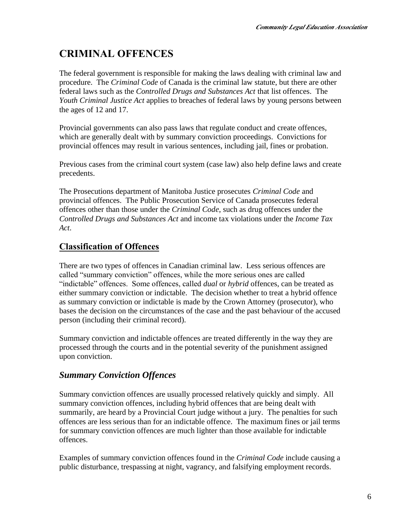# **CRIMINAL OFFENCES**

The federal government is responsible for making the laws dealing with criminal law and procedure. The *Criminal Code* of Canada is the criminal law statute, but there are other federal laws such as the *Controlled Drugs and Substances Act* that list offences. The *Youth Criminal Justice Act* applies to breaches of federal laws by young persons between the ages of 12 and 17.

Provincial governments can also pass laws that regulate conduct and create offences, which are generally dealt with by summary conviction proceedings. Convictions for provincial offences may result in various sentences, including jail, fines or probation.

Previous cases from the criminal court system (case law) also help define laws and create precedents.

The Prosecutions department of Manitoba Justice prosecutes *Criminal Code* and provincial offences. The Public Prosecution Service of Canada prosecutes federal offences other than those under the *Criminal Code*, such as drug offences under the *Controlled Drugs and Substances Act* and income tax violations under the *Income Tax Act*.

## **Classification of Offences**

There are two types of offences in Canadian criminal law. Less serious offences are called "summary conviction" offences, while the more serious ones are called "indictable" offences. Some offences, called *dual* or *hybrid* offences, can be treated as either summary conviction or indictable. The decision whether to treat a hybrid offence as summary conviction or indictable is made by the Crown Attorney (prosecutor), who bases the decision on the circumstances of the case and the past behaviour of the accused person (including their criminal record).

Summary conviction and indictable offences are treated differently in the way they are processed through the courts and in the potential severity of the punishment assigned upon conviction.

## *Summary Conviction Offences*

Summary conviction offences are usually processed relatively quickly and simply. All summary conviction offences, including hybrid offences that are being dealt with summarily, are heard by a Provincial Court judge without a jury. The penalties for such offences are less serious than for an indictable offence. The maximum fines or jail terms for summary conviction offences are much lighter than those available for indictable offences.

Examples of summary conviction offences found in the *Criminal Code* include causing a public disturbance, trespassing at night, vagrancy, and falsifying employment records.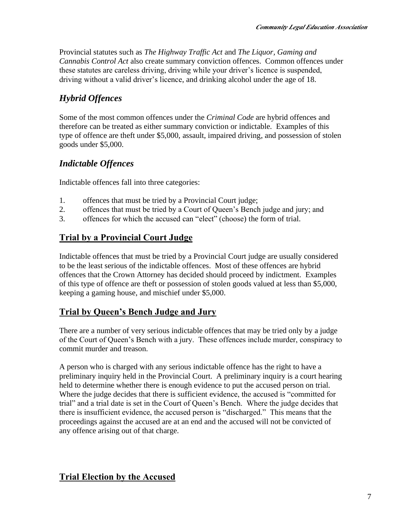Provincial statutes such as *The Highway Traffic Act* and *The Liquor, Gaming and Cannabis Control Act* also create summary conviction offences. Common offences under these statutes are careless driving, driving while your driver's licence is suspended, driving without a valid driver's licence, and drinking alcohol under the age of 18.

## *Hybrid Offences*

Some of the most common offences under the *Criminal Code* are hybrid offences and therefore can be treated as either summary conviction or indictable. Examples of this type of offence are theft under \$5,000, assault, impaired driving, and possession of stolen goods under \$5,000.

## *Indictable Offences*

Indictable offences fall into three categories:

- 1. offences that must be tried by a Provincial Court judge;
- 2. offences that must be tried by a Court of Queen's Bench judge and jury; and
- 3. offences for which the accused can "elect" (choose) the form of trial.

## **Trial by a Provincial Court Judge**

Indictable offences that must be tried by a Provincial Court judge are usually considered to be the least serious of the indictable offences. Most of these offences are hybrid offences that the Crown Attorney has decided should proceed by indictment. Examples of this type of offence are theft or possession of stolen goods valued at less than \$5,000, keeping a gaming house, and mischief under \$5,000.

## **Trial by Queen's Bench Judge and Jury**

There are a number of very serious indictable offences that may be tried only by a judge of the Court of Queen's Bench with a jury. These offences include murder, conspiracy to commit murder and treason.

A person who is charged with any serious indictable offence has the right to have a preliminary inquiry held in the Provincial Court. A preliminary inquiry is a court hearing held to determine whether there is enough evidence to put the accused person on trial. Where the judge decides that there is sufficient evidence, the accused is "committed for trial" and a trial date is set in the Court of Queen's Bench. Where the judge decides that there is insufficient evidence, the accused person is "discharged." This means that the proceedings against the accused are at an end and the accused will not be convicted of any offence arising out of that charge.

## **Trial Election by the Accused**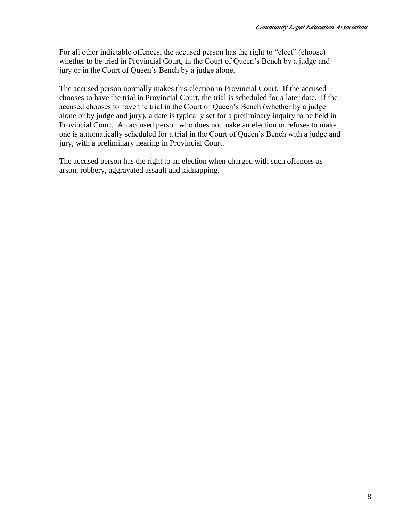For all other indictable offences, the accused person has the right to "elect" (choose) whether to be tried in Provincial Court, in the Court of Queen's Bench by a judge and jury or in the Court of Queen's Bench by a judge alone.

The accused person normally makes this election in Provincial Court. If the accused chooses to have the trial in Provincial Court, the trial is scheduled for a later date. If the accused chooses to have the trial in the Court of Queen's Bench (whether by a judge alone or by judge and jury), a date is typically set for a preliminary inquiry to be held in Provincial Court. An accused person who does not make an election or refuses to make one is automatically scheduled for a trial in the Court of Queen's Bench with a judge and jury, with a preliminary hearing in Provincial Court.

The accused person has the right to an election when charged with such offences as arson, robbery, aggravated assault and kidnapping.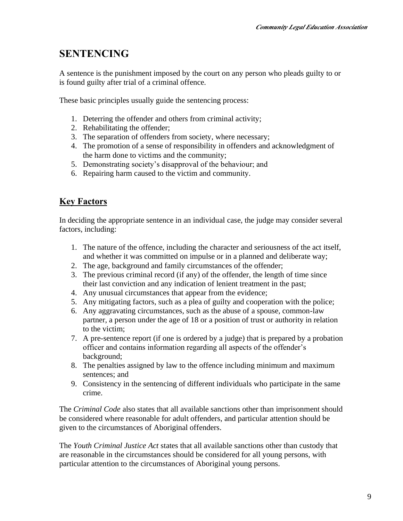## **SENTENCING**

A sentence is the punishment imposed by the court on any person who pleads guilty to or is found guilty after trial of a criminal offence.

These basic principles usually guide the sentencing process:

- 1. Deterring the offender and others from criminal activity;
- 2. Rehabilitating the offender;
- 3. The separation of offenders from society, where necessary;
- 4. The promotion of a sense of responsibility in offenders and acknowledgment of the harm done to victims and the community;
- 5. Demonstrating society's disapproval of the behaviour; and
- 6. Repairing harm caused to the victim and community.

## **Key Factors**

In deciding the appropriate sentence in an individual case, the judge may consider several factors, including:

- 1. The nature of the offence, including the character and seriousness of the act itself, and whether it was committed on impulse or in a planned and deliberate way;
- 2. The age, background and family circumstances of the offender;
- 3. The previous criminal record (if any) of the offender, the length of time since their last conviction and any indication of lenient treatment in the past;
- 4. Any unusual circumstances that appear from the evidence;
- 5. Any mitigating factors, such as a plea of guilty and cooperation with the police;
- 6. Any aggravating circumstances, such as the abuse of a spouse, common-law partner, a person under the age of 18 or a position of trust or authority in relation to the victim;
- 7. A pre-sentence report (if one is ordered by a judge) that is prepared by a probation officer and contains information regarding all aspects of the offender's background;
- 8. The penalties assigned by law to the offence including minimum and maximum sentences; and
- 9. Consistency in the sentencing of different individuals who participate in the same crime.

The *Criminal Code* also states that all available sanctions other than imprisonment should be considered where reasonable for adult offenders, and particular attention should be given to the circumstances of Aboriginal offenders.

The *Youth Criminal Justice Act* states that all available sanctions other than custody that are reasonable in the circumstances should be considered for all young persons, with particular attention to the circumstances of Aboriginal young persons.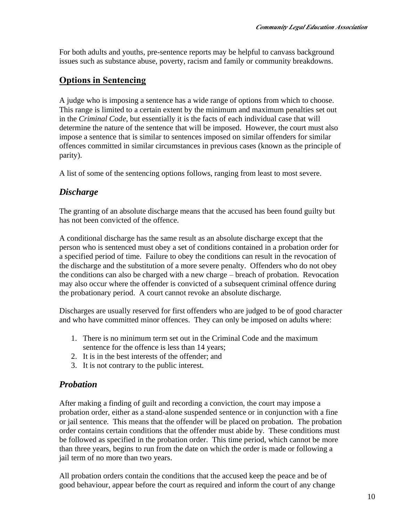For both adults and youths, pre-sentence reports may be helpful to canvass background issues such as substance abuse, poverty, racism and family or community breakdowns.

## **Options in Sentencing**

A judge who is imposing a sentence has a wide range of options from which to choose. This range is limited to a certain extent by the minimum and maximum penalties set out in the *Criminal Code*, but essentially it is the facts of each individual case that will determine the nature of the sentence that will be imposed. However, the court must also impose a sentence that is similar to sentences imposed on similar offenders for similar offences committed in similar circumstances in previous cases (known as the principle of parity).

A list of some of the sentencing options follows, ranging from least to most severe.

## *Discharge*

The granting of an absolute discharge means that the accused has been found guilty but has not been convicted of the offence.

A conditional discharge has the same result as an absolute discharge except that the person who is sentenced must obey a set of conditions contained in a probation order for a specified period of time. Failure to obey the conditions can result in the revocation of the discharge and the substitution of a more severe penalty. Offenders who do not obey the conditions can also be charged with a new charge – breach of probation. Revocation may also occur where the offender is convicted of a subsequent criminal offence during the probationary period. A court cannot revoke an absolute discharge.

Discharges are usually reserved for first offenders who are judged to be of good character and who have committed minor offences. They can only be imposed on adults where:

- 1. There is no minimum term set out in the Criminal Code and the maximum sentence for the offence is less than 14 years;
- 2. It is in the best interests of the offender; and
- 3. It is not contrary to the public interest.

## *Probation*

After making a finding of guilt and recording a conviction, the court may impose a probation order, either as a stand-alone suspended sentence or in conjunction with a fine or jail sentence. This means that the offender will be placed on probation. The probation order contains certain conditions that the offender must abide by. These conditions must be followed as specified in the probation order. This time period, which cannot be more than three years, begins to run from the date on which the order is made or following a jail term of no more than two years.

All probation orders contain the conditions that the accused keep the peace and be of good behaviour, appear before the court as required and inform the court of any change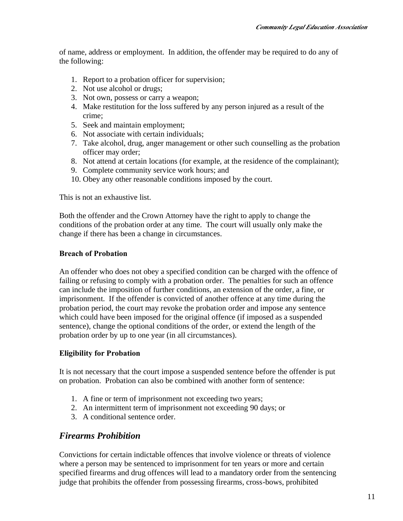of name, address or employment. In addition, the offender may be required to do any of the following:

- 1. Report to a probation officer for supervision;
- 2. Not use alcohol or drugs;
- 3. Not own, possess or carry a weapon;
- 4. Make restitution for the loss suffered by any person injured as a result of the crime;
- 5. Seek and maintain employment;
- 6. Not associate with certain individuals;
- 7. Take alcohol, drug, anger management or other such counselling as the probation officer may order;
- 8. Not attend at certain locations (for example, at the residence of the complainant);
- 9. Complete community service work hours; and
- 10. Obey any other reasonable conditions imposed by the court.

This is not an exhaustive list.

Both the offender and the Crown Attorney have the right to apply to change the conditions of the probation order at any time. The court will usually only make the change if there has been a change in circumstances.

#### **Breach of Probation**

An offender who does not obey a specified condition can be charged with the offence of failing or refusing to comply with a probation order. The penalties for such an offence can include the imposition of further conditions, an extension of the order, a fine, or imprisonment. If the offender is convicted of another offence at any time during the probation period, the court may revoke the probation order and impose any sentence which could have been imposed for the original offence (if imposed as a suspended sentence), change the optional conditions of the order, or extend the length of the probation order by up to one year (in all circumstances).

#### **Eligibility for Probation**

It is not necessary that the court impose a suspended sentence before the offender is put on probation. Probation can also be combined with another form of sentence:

- 1. A fine or term of imprisonment not exceeding two years;
- 2. An intermittent term of imprisonment not exceeding 90 days; or
- 3. A conditional sentence order.

#### *Firearms Prohibition*

Convictions for certain indictable offences that involve violence or threats of violence where a person may be sentenced to imprisonment for ten years or more and certain specified firearms and drug offences will lead to a mandatory order from the sentencing judge that prohibits the offender from possessing firearms, cross-bows, prohibited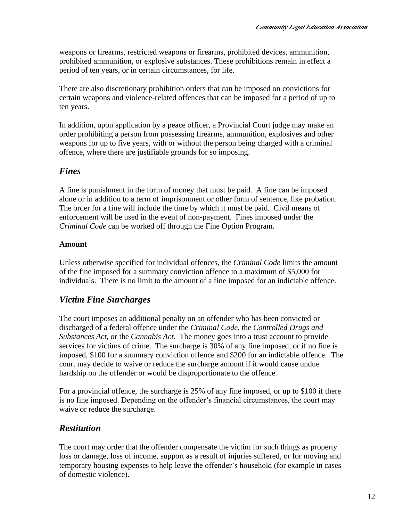weapons or firearms, restricted weapons or firearms, prohibited devices, ammunition, prohibited ammunition, or explosive substances. These prohibitions remain in effect a period of ten years, or in certain circumstances, for life.

There are also discretionary prohibition orders that can be imposed on convictions for certain weapons and violence-related offences that can be imposed for a period of up to ten years.

In addition, upon application by a peace officer, a Provincial Court judge may make an order prohibiting a person from possessing firearms, ammunition, explosives and other weapons for up to five years, with or without the person being charged with a criminal offence, where there are justifiable grounds for so imposing.

## *Fines*

A fine is punishment in the form of money that must be paid. A fine can be imposed alone or in addition to a term of imprisonment or other form of sentence, like probation. The order for a fine will include the time by which it must be paid. Civil means of enforcement will be used in the event of non-payment. Fines imposed under the *Criminal Code* can be worked off through the Fine Option Program.

#### **Amount**

Unless otherwise specified for individual offences, the *Criminal Code* limits the amount of the fine imposed for a summary conviction offence to a maximum of \$5,000 for individuals. There is no limit to the amount of a fine imposed for an indictable offence.

## *Victim Fine Surcharges*

The court imposes an additional penalty on an offender who has been convicted or discharged of a federal offence under the *Criminal Code*, the *Controlled Drugs and Substances Act*, or the *Cannabis Act*. The money goes into a trust account to provide services for victims of crime. The surcharge is 30% of any fine imposed, or if no fine is imposed, \$100 for a summary conviction offence and \$200 for an indictable offence. The court may decide to waive or reduce the surcharge amount if it would cause undue hardship on the offender or would be disproportionate to the offence.

For a provincial offence, the surcharge is 25% of any fine imposed, or up to \$100 if there is no fine imposed. Depending on the offender's financial circumstances, the court may waive or reduce the surcharge.

## *Restitution*

The court may order that the offender compensate the victim for such things as property loss or damage, loss of income, support as a result of injuries suffered, or for moving and temporary housing expenses to help leave the offender's household (for example in cases of domestic violence).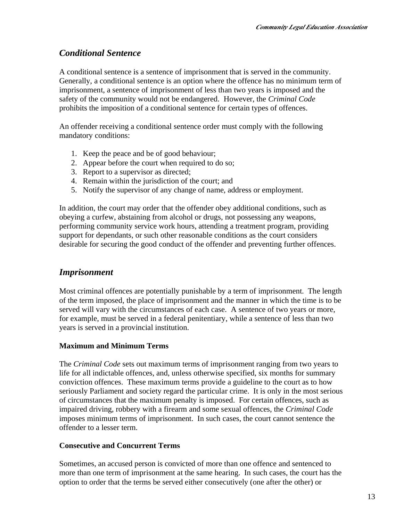## *Conditional Sentence*

A conditional sentence is a sentence of imprisonment that is served in the community. Generally, a conditional sentence is an option where the offence has no minimum term of imprisonment, a sentence of imprisonment of less than two years is imposed and the safety of the community would not be endangered. However, the *Criminal Code* prohibits the imposition of a conditional sentence for certain types of offences.

An offender receiving a conditional sentence order must comply with the following mandatory conditions:

- 1. Keep the peace and be of good behaviour;
- 2. Appear before the court when required to do so;
- 3. Report to a supervisor as directed;
- 4. Remain within the jurisdiction of the court; and
- 5. Notify the supervisor of any change of name, address or employment.

In addition, the court may order that the offender obey additional conditions, such as obeying a curfew, abstaining from alcohol or drugs, not possessing any weapons, performing community service work hours, attending a treatment program, providing support for dependants, or such other reasonable conditions as the court considers desirable for securing the good conduct of the offender and preventing further offences.

## *Imprisonment*

Most criminal offences are potentially punishable by a term of imprisonment. The length of the term imposed, the place of imprisonment and the manner in which the time is to be served will vary with the circumstances of each case. A sentence of two years or more, for example, must be served in a federal penitentiary, while a sentence of less than two years is served in a provincial institution.

#### **Maximum and Minimum Terms**

The *Criminal Code* sets out maximum terms of imprisonment ranging from two years to life for all indictable offences, and, unless otherwise specified, six months for summary conviction offences. These maximum terms provide a guideline to the court as to how seriously Parliament and society regard the particular crime. It is only in the most serious of circumstances that the maximum penalty is imposed. For certain offences, such as impaired driving, robbery with a firearm and some sexual offences, the *Criminal Code* imposes minimum terms of imprisonment. In such cases, the court cannot sentence the offender to a lesser term.

#### **Consecutive and Concurrent Terms**

Sometimes, an accused person is convicted of more than one offence and sentenced to more than one term of imprisonment at the same hearing. In such cases, the court has the option to order that the terms be served either consecutively (one after the other) or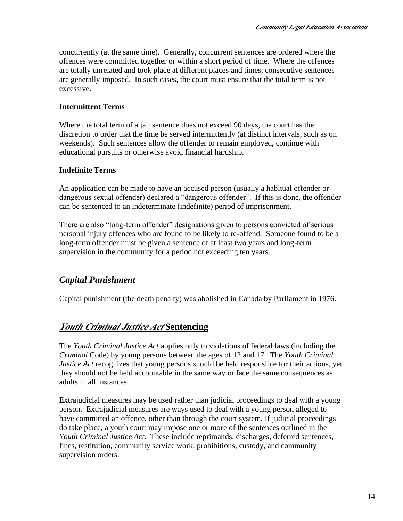concurrently (at the same time). Generally, concurrent sentences are ordered where the offences were committed together or within a short period of time. Where the offences are totally unrelated and took place at different places and times, consecutive sentences are generally imposed. In such cases, the court must ensure that the total term is not excessive.

#### **Intermittent Terms**

Where the total term of a jail sentence does not exceed 90 days, the court has the discretion to order that the time be served intermittently (at distinct intervals, such as on weekends). Such sentences allow the offender to remain employed, continue with educational pursuits or otherwise avoid financial hardship.

#### **Indefinite Terms**

An application can be made to have an accused person (usually a habitual offender or dangerous sexual offender) declared a "dangerous offender". If this is done, the offender can be sentenced to an indeterminate (indefinite) period of imprisonment.

There are also "long-term offender" designations given to persons convicted of serious personal injury offences who are found to be likely to re-offend. Someone found to be a long-term offender must be given a sentence of at least two years and long-term supervision in the community for a period not exceeding ten years.

## *Capital Punishment*

Capital punishment (the death penalty) was abolished in Canada by Parliament in 1976.

## *Youth Criminal Justice Act* **Sentencing**

The *Youth Criminal Justice Act* applies only to violations of federal laws (including the *Criminal* Code) by young persons between the ages of 12 and 17. The *Youth Criminal Justice Act* recognizes that young persons should be held responsible for their actions, yet they should not be held accountable in the same way or face the same consequences as adults in all instances.

Extrajudicial measures may be used rather than judicial proceedings to deal with a young person. Extrajudicial measures are ways used to deal with a young person alleged to have committed an offence, other than through the court system. If judicial proceedings do take place, a youth court may impose one or more of the sentences outlined in the *Youth Criminal Justice Act*. These include reprimands, discharges, deferred sentences, fines, restitution, community service work, prohibitions, custody, and community supervision orders.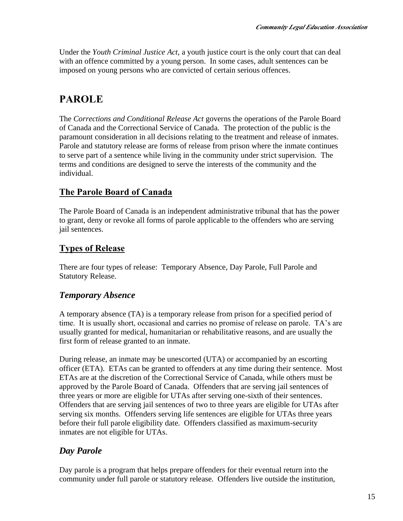Under the *Youth Criminal Justice Act*, a youth justice court is the only court that can deal with an offence committed by a young person. In some cases, adult sentences can be imposed on young persons who are convicted of certain serious offences.

# **PAROLE**

The *Corrections and Conditional Release Act* governs the operations of the Parole Board of Canada and the Correctional Service of Canada. The protection of the public is the paramount consideration in all decisions relating to the treatment and release of inmates. Parole and statutory release are forms of release from prison where the inmate continues to serve part of a sentence while living in the community under strict supervision. The terms and conditions are designed to serve the interests of the community and the individual.

## **The Parole Board of Canada**

The Parole Board of Canada is an independent administrative tribunal that has the power to grant, deny or revoke all forms of parole applicable to the offenders who are serving jail sentences.

## **Types of Release**

There are four types of release: Temporary Absence, Day Parole, Full Parole and Statutory Release.

## *Temporary Absence*

A temporary absence (TA) is a temporary release from prison for a specified period of time. It is usually short, occasional and carries no promise of release on parole. TA's are usually granted for medical, humanitarian or rehabilitative reasons, and are usually the first form of release granted to an inmate.

During release, an inmate may be unescorted (UTA) or accompanied by an escorting officer (ETA). ETAs can be granted to offenders at any time during their sentence. Most ETAs are at the discretion of the Correctional Service of Canada, while others must be approved by the Parole Board of Canada. Offenders that are serving jail sentences of three years or more are eligible for UTAs after serving one-sixth of their sentences. Offenders that are serving jail sentences of two to three years are eligible for UTAs after serving six months. Offenders serving life sentences are eligible for UTAs three years before their full parole eligibility date. Offenders classified as maximum-security inmates are not eligible for UTAs.

## *Day Parole*

Day parole is a program that helps prepare offenders for their eventual return into the community under full parole or statutory release. Offenders live outside the institution,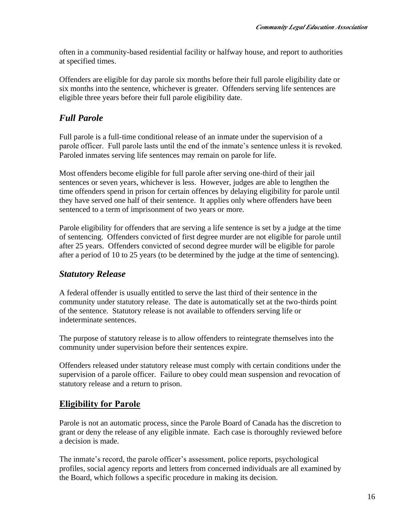often in a community-based residential facility or halfway house, and report to authorities at specified times.

Offenders are eligible for day parole six months before their full parole eligibility date or six months into the sentence, whichever is greater. Offenders serving life sentences are eligible three years before their full parole eligibility date.

## *Full Parole*

Full parole is a full-time conditional release of an inmate under the supervision of a parole officer. Full parole lasts until the end of the inmate's sentence unless it is revoked. Paroled inmates serving life sentences may remain on parole for life.

Most offenders become eligible for full parole after serving one-third of their jail sentences or seven years, whichever is less. However, judges are able to lengthen the time offenders spend in prison for certain offences by delaying eligibility for parole until they have served one half of their sentence. It applies only where offenders have been sentenced to a term of imprisonment of two years or more.

Parole eligibility for offenders that are serving a life sentence is set by a judge at the time of sentencing. Offenders convicted of first degree murder are not eligible for parole until after 25 years. Offenders convicted of second degree murder will be eligible for parole after a period of 10 to 25 years (to be determined by the judge at the time of sentencing).

## *Statutory Release*

A federal offender is usually entitled to serve the last third of their sentence in the community under statutory release. The date is automatically set at the two-thirds point of the sentence. Statutory release is not available to offenders serving life or indeterminate sentences.

The purpose of statutory release is to allow offenders to reintegrate themselves into the community under supervision before their sentences expire.

Offenders released under statutory release must comply with certain conditions under the supervision of a parole officer. Failure to obey could mean suspension and revocation of statutory release and a return to prison.

## **Eligibility for Parole**

Parole is not an automatic process, since the Parole Board of Canada has the discretion to grant or deny the release of any eligible inmate. Each case is thoroughly reviewed before a decision is made.

The inmate's record, the parole officer's assessment, police reports, psychological profiles, social agency reports and letters from concerned individuals are all examined by the Board, which follows a specific procedure in making its decision.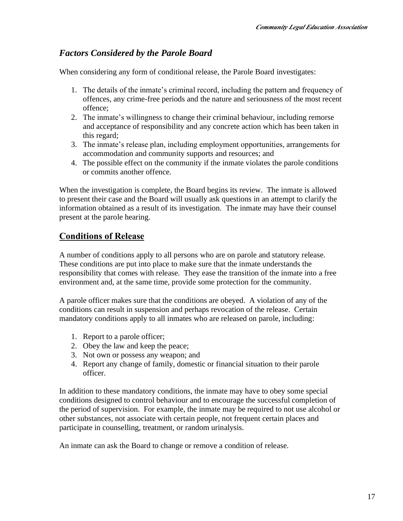## *Factors Considered by the Parole Board*

When considering any form of conditional release, the Parole Board investigates:

- 1. The details of the inmate's criminal record, including the pattern and frequency of offences, any crime-free periods and the nature and seriousness of the most recent offence;
- 2. The inmate's willingness to change their criminal behaviour, including remorse and acceptance of responsibility and any concrete action which has been taken in this regard;
- 3. The inmate's release plan, including employment opportunities, arrangements for accommodation and community supports and resources; and
- 4. The possible effect on the community if the inmate violates the parole conditions or commits another offence.

When the investigation is complete, the Board begins its review. The inmate is allowed to present their case and the Board will usually ask questions in an attempt to clarify the information obtained as a result of its investigation. The inmate may have their counsel present at the parole hearing.

## **Conditions of Release**

A number of conditions apply to all persons who are on parole and statutory release. These conditions are put into place to make sure that the inmate understands the responsibility that comes with release. They ease the transition of the inmate into a free environment and, at the same time, provide some protection for the community.

A parole officer makes sure that the conditions are obeyed. A violation of any of the conditions can result in suspension and perhaps revocation of the release. Certain mandatory conditions apply to all inmates who are released on parole, including:

- 1. Report to a parole officer;
- 2. Obey the law and keep the peace;
- 3. Not own or possess any weapon; and
- 4. Report any change of family, domestic or financial situation to their parole officer.

In addition to these mandatory conditions, the inmate may have to obey some special conditions designed to control behaviour and to encourage the successful completion of the period of supervision. For example, the inmate may be required to not use alcohol or other substances, not associate with certain people, not frequent certain places and participate in counselling, treatment, or random urinalysis.

An inmate can ask the Board to change or remove a condition of release.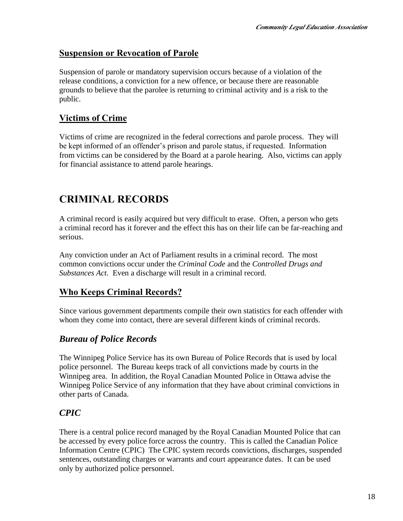## **Suspension or Revocation of Parole**

Suspension of parole or mandatory supervision occurs because of a violation of the release conditions, a conviction for a new offence, or because there are reasonable grounds to believe that the parolee is returning to criminal activity and is a risk to the public.

## **Victims of Crime**

Victims of crime are recognized in the federal corrections and parole process. They will be kept informed of an offender's prison and parole status, if requested. Information from victims can be considered by the Board at a parole hearing. Also, victims can apply for financial assistance to attend parole hearings.

# **CRIMINAL RECORDS**

A criminal record is easily acquired but very difficult to erase. Often, a person who gets a criminal record has it forever and the effect this has on their life can be far-reaching and serious.

Any conviction under an Act of Parliament results in a criminal record. The most common convictions occur under the *Criminal Code* and the *Controlled Drugs and Substances Act*. Even a discharge will result in a criminal record.

## **Who Keeps Criminal Records?**

Since various government departments compile their own statistics for each offender with whom they come into contact, there are several different kinds of criminal records.

## *Bureau of Police Records*

The Winnipeg Police Service has its own Bureau of Police Records that is used by local police personnel. The Bureau keeps track of all convictions made by courts in the Winnipeg area. In addition, the Royal Canadian Mounted Police in Ottawa advise the Winnipeg Police Service of any information that they have about criminal convictions in other parts of Canada.

## *CPIC*

There is a central police record managed by the Royal Canadian Mounted Police that can be accessed by every police force across the country. This is called the Canadian Police Information Centre (CPIC) The CPIC system records convictions, discharges, suspended sentences, outstanding charges or warrants and court appearance dates. It can be used only by authorized police personnel.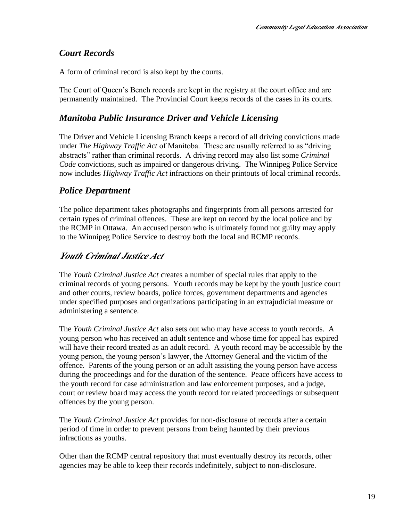## *Court Records*

A form of criminal record is also kept by the courts.

The Court of Queen's Bench records are kept in the registry at the court office and are permanently maintained. The Provincial Court keeps records of the cases in its courts.

#### *Manitoba Public Insurance Driver and Vehicle Licensing*

The Driver and Vehicle Licensing Branch keeps a record of all driving convictions made under *The Highway Traffic Act* of Manitoba. These are usually referred to as "driving abstracts" rather than criminal records. A driving record may also list some *Criminal Code* convictions, such as impaired or dangerous driving. The Winnipeg Police Service now includes *Highway Traffic Act* infractions on their printouts of local criminal records.

## *Police Department*

The police department takes photographs and fingerprints from all persons arrested for certain types of criminal offences. These are kept on record by the local police and by the RCMP in Ottawa. An accused person who is ultimately found not guilty may apply to the Winnipeg Police Service to destroy both the local and RCMP records.

## *Youth Criminal Justice Act*

The *Youth Criminal Justice Act* creates a number of special rules that apply to the criminal records of young persons. Youth records may be kept by the youth justice court and other courts, review boards, police forces, government departments and agencies under specified purposes and organizations participating in an extrajudicial measure or administering a sentence.

The *Youth Criminal Justice Act* also sets out who may have access to youth records. A young person who has received an adult sentence and whose time for appeal has expired will have their record treated as an adult record. A youth record may be accessible by the young person, the young person's lawyer, the Attorney General and the victim of the offence.Parents of the young person or an adult assisting the young person have access during the proceedings and for the duration of the sentence. Peace officers have access to the youth record for case administration and law enforcement purposes, and a judge, court or review board may access the youth record for related proceedings or subsequent offences by the young person.

The *Youth Criminal Justice Act* provides for non-disclosure of records after a certain period of time in order to prevent persons from being haunted by their previous infractions as youths.

Other than the RCMP central repository that must eventually destroy its records, other agencies may be able to keep their records indefinitely, subject to non-disclosure.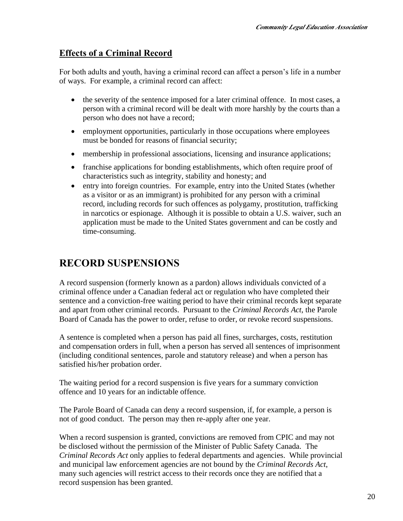## **Effects of a Criminal Record**

For both adults and youth, having a criminal record can affect a person's life in a number of ways. For example, a criminal record can affect:

- the severity of the sentence imposed for a later criminal offence. In most cases, a person with a criminal record will be dealt with more harshly by the courts than a person who does not have a record;
- employment opportunities, particularly in those occupations where employees must be bonded for reasons of financial security;
- membership in professional associations, licensing and insurance applications;
- franchise applications for bonding establishments, which often require proof of characteristics such as integrity, stability and honesty; and
- entry into foreign countries. For example, entry into the United States (whether as a visitor or as an immigrant) is prohibited for any person with a criminal record, including records for such offences as polygamy, prostitution, trafficking in narcotics or espionage. Although it is possible to obtain a U.S. waiver, such an application must be made to the United States government and can be costly and time-consuming.

# **RECORD SUSPENSIONS**

A record suspension (formerly known as a pardon) allows individuals convicted of a criminal offence under a Canadian federal act or regulation who have completed their sentence and a conviction-free waiting period to have their criminal records kept separate and apart from other criminal records. Pursuant to the *Criminal Records Act*, the Parole Board of Canada has the power to order, refuse to order, or revoke record suspensions.

A sentence is completed when a person has paid all fines, surcharges, costs, restitution and compensation orders in full, when a person has served all sentences of imprisonment (including conditional sentences, parole and statutory release) and when a person has satisfied his/her probation order.

The waiting period for a record suspension is five years for a summary conviction offence and 10 years for an indictable offence.

The Parole Board of Canada can deny a record suspension, if, for example, a person is not of good conduct. The person may then re-apply after one year.

When a record suspension is granted, convictions are removed from CPIC and may not be disclosed without the permission of the Minister of Public Safety Canada. The *Criminal Records Act* only applies to federal departments and agencies. While provincial and municipal law enforcement agencies are not bound by the *Criminal Records Act*, many such agencies will restrict access to their records once they are notified that a record suspension has been granted.